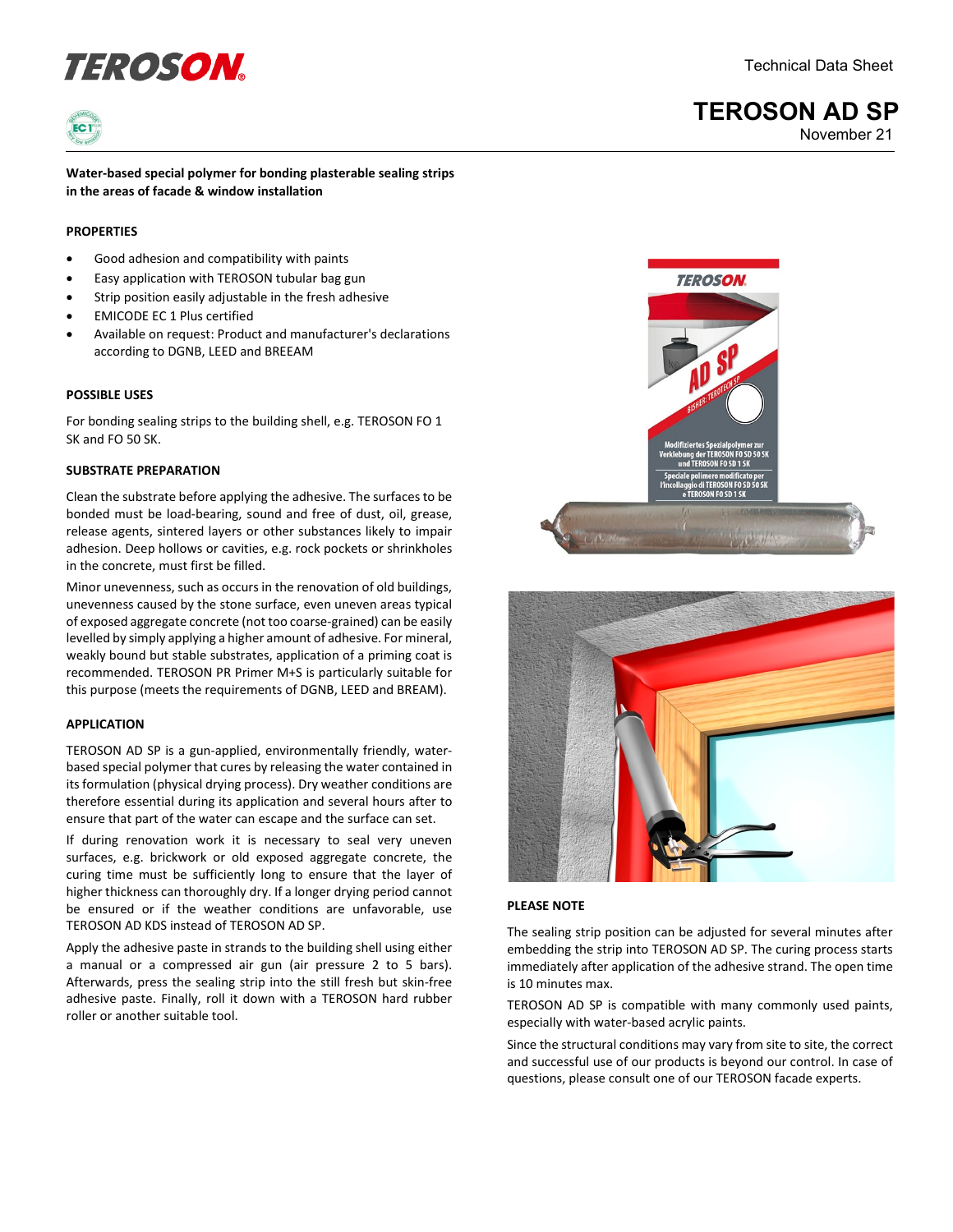# **definition of the COSON** Technical Data Sheet



**Water-based special polymer for bonding plasterable sealing strips in the areas of facade & window installation**

## **PROPERTIES**

- Good adhesion and compatibility with paints
- Easy application with TEROSON tubular bag gun
- Strip position easily adjustable in the fresh adhesive
- EMICODE EC 1 Plus certified
- Available on request: Product and manufacturer's declarations according to DGNB, LEED and BREEAM

### **POSSIBLE USES**

For bonding sealing strips to the building shell, e.g. TEROSON FO 1 SK and FO 50 SK.

## **SUBSTRATE PREPARATION**

Clean the substrate before applying the adhesive. The surfaces to be bonded must be load-bearing, sound and free of dust, oil, grease, release agents, sintered layers or other substances likely to impair adhesion. Deep hollows or cavities, e.g. rock pockets or shrinkholes in the concrete, must first be filled.

Minor unevenness, such as occurs in the renovation of old buildings, unevenness caused by the stone surface, even uneven areas typical of exposed aggregate concrete (not too coarse-grained) can be easily levelled by simply applying a higher amount of adhesive. For mineral, weakly bound but stable substrates, application of a priming coat is recommended. TEROSON PR Primer M+S is particularly suitable for this purpose (meets the requirements of DGNB, LEED and BREAM).

#### **APPLICATION**

TEROSON AD SP is a gun-applied, environmentally friendly, waterbased special polymer that cures by releasing the water contained in its formulation (physical drying process). Dry weather conditions are therefore essential during its application and several hours after to ensure that part of the water can escape and the surface can set.

If during renovation work it is necessary to seal very uneven surfaces, e.g. brickwork or old exposed aggregate concrete, the curing time must be sufficiently long to ensure that the layer of higher thickness can thoroughly dry. If a longer drying period cannot be ensured or if the weather conditions are unfavorable, use TEROSON AD KDS instead of TEROSON AD SP.

Apply the adhesive paste in strands to the building shell using either a manual or a compressed air gun (air pressure 2 to 5 bars). Afterwards, press the sealing strip into the still fresh but skin-free adhesive paste. Finally, roll it down with a TEROSON hard rubber roller or another suitable tool.





#### **PLEASE NOTE**

The sealing strip position can be adjusted for several minutes after embedding the strip into TEROSON AD SP. The curing process starts immediately after application of the adhesive strand. The open time is 10 minutes max.

TEROSON AD SP is compatible with many commonly used paints, especially with water-based acrylic paints.

Since the structural conditions may vary from site to site, the correct and successful use of our products is beyond our control. In case of questions, please consult one of our TEROSON facade experts.